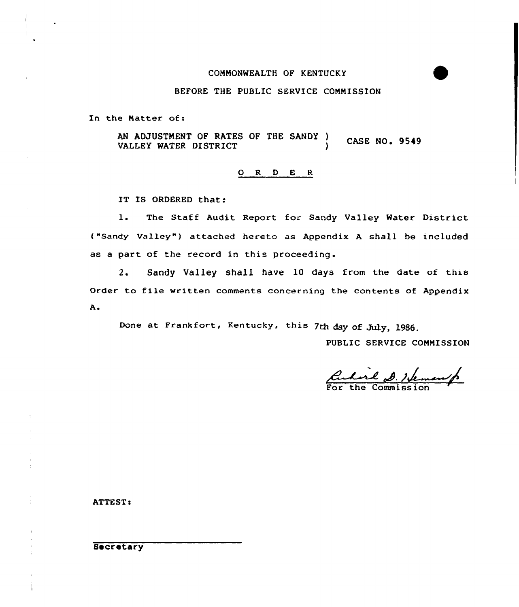### COMMONWEALTH OF KENTUCKY

## BEFORE THE PUBLIC SERVICE COMMISSION

In the Natter of:

AN ADJUSTMENT OF RATES OF THE SANDY ) CASE NO. 9549 VALLEY WATER DISTRICT

## ORDER

IT IS ORDERED that:

l. The Staff Audit Report for Sandy Valley Water District ("Sandy Valley") attached hereto as Appendix A shall be included as a part of the record in this proceeding.

2. Sandy Valley shall have 10 days from the date of this Order to file written comments concerning the contents of Appendix Ao

Done at Frankfort, Kentucky, this 7th day of July, 1986.

PUBLIC SERVICE COMMISSION

Cularl D. Hem

ATTESTs

## **Secretary**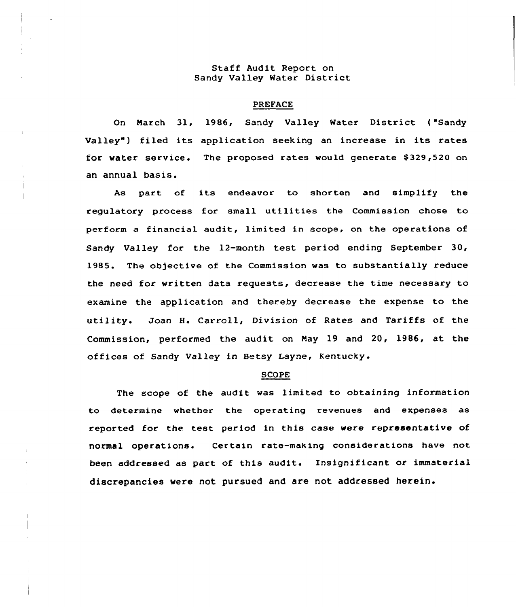## Staff Audit Report on Sandy Valley Mater District

## PREFACE

On March 31, 1986, Sandy Valley Water District ("Sandy Valley") filed its application seeking an increase in its rates for water service. The proposed rates would generate \$329,520 on an annual basis.

As part of its endeavor to shorten and simplify the regulatory process for small utilities the Commission chose to pexform a financial audit, limited in scope, on the operations of Sandy Valley for the  $12$ -month test period ending September 30, 1985. The objective of the Commission was to substantially reduce the need for written data requests, decrease the time necessary to examine the application and thereby decrease the expense to the utility. Joan H. Carroll, Division of Rates and Tariffs of the Commission, performed the audit. on Nay 19 and 20, 19B6, at the offices of Sandy Valley in Betsy Layne,

#### **SCOPE**

The scope of the audit vas limited to obtaining information to determine whether the operating revenues and expenses as reported for the test period in this case were representative of normal operations. Certain rate-making considerations have not been addressed as part of this audit. Insignificant or immaterial discrepancies were not pursued and are not addressed herein.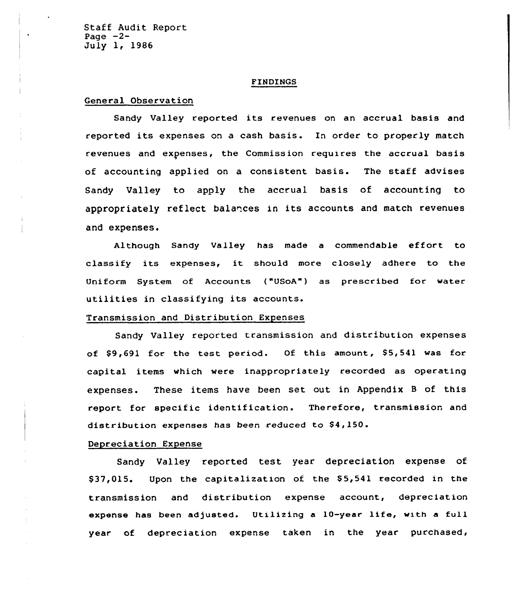Staff Audit Report Page  $-2-$ July 1, 1986

### FINDINGS

## General Observation

Sandy Valley reported its revenues on an accrual basis and reported its expenses on <sup>a</sup> cash basis. In order to properly match revenues and expenses, the Commission requires the accrual basis of accounting applied on a consistent basis. The staff advises Sandy Valley to apply the accrual basis of accounting to appropriately reflect balances in its accounts and match revenues and expenses.

Although Sandy Valley has made <sup>a</sup> commendable effort to classify its expenses, it should more closely adhere to the Uniform System of Accounts ("USoA") as prescribed for water utilities in classifying its accounts.

## Transmission and Distribution Expenses

Sandy Valley reported transmission and distribution expenses of \$9,691 for the test period. Of this amount, \$5,541 was for capital items which were inappropriately recorded as operating expenses. These items have been set out in Appendix <sup>B</sup> of this report for specific identification. Therefore, transmission and distribution expenses has been reduced to  $$4,150$ .

### Depreciation Expense

Sandy Valley reported test year depreciation expense of \$37,015. Upon the capitalization of the \$5,541 recorded in the transmission and distribution expense account, depreciation expense has been adjusted. Utilizing a 10-year life, with a full year of depreciation expense taken in the year purchased,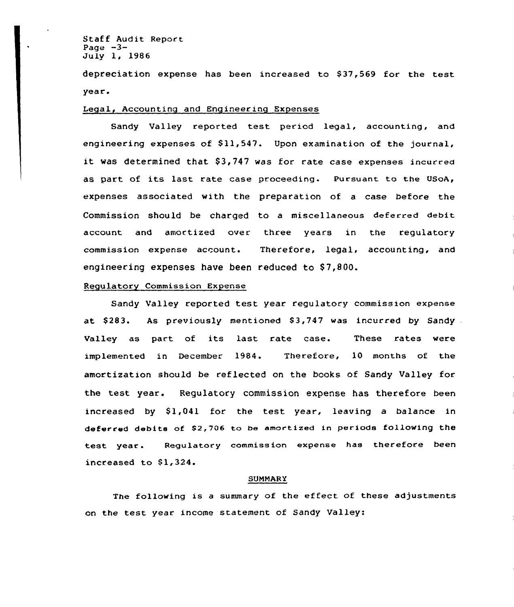Staff Audit Report Page  $-3-$ July 1, 1986

depreciation expense has been increased to \$37,569 for the test year.

## Legal, Accounting and Engineering Expenses

Sandy Valley reported test period legal, accounting, and engineering expenses of  $$11,547$ . Upon examination of the journal, it was determined that  $$3,747$  was for rate case expenses incurred as part of its last rate case proceeding. Pursuant to the USoA, expenses associated with the preparation of a case before the Commission should be charged to a miscellaneous deferred debit account and amortized over three years in the regulatory commission expense account. Therefore, legal, accounting, and engineering expenses have been reduced to \$7,800.

## Regulatory Commission Expense

Sandy Valley reported test year regulatory commission expense at  $$283.$  As previously mentioned  $$3,747$  was incurred by Sandy. Valley as part of its last rate case. These rates were implemented in December 1984. Therefore, 10 months of the amortization should be reflected on the books of Sandy Valley for the test year. Regulatory commission expense has therefore been increased by \$1,041 for the test year, leaving a balance in deferred debits of \$2,706 to be amortized in periods following the test year. Regulatory commission expense has therefore been increased to  $$1,324.$ 

### **SUMMARY**

The following is <sup>a</sup> summary of the effect of these adjustments on the test year income statement of Sandy Valley: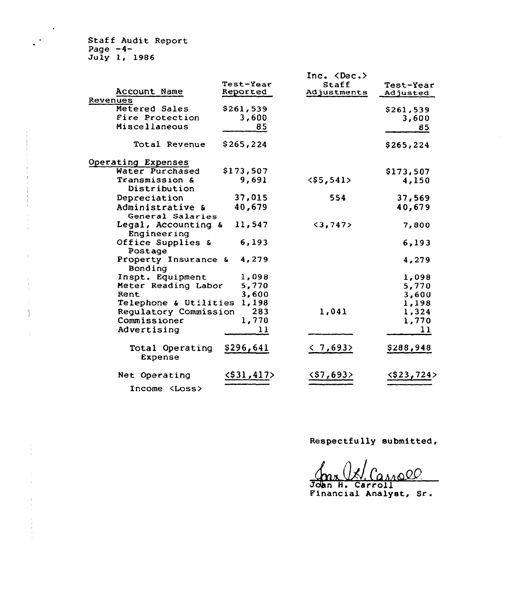Staff Audit Report Page -4- July I, 1986

 $\ddot{\phantom{1}}$ 

 $\ddot{\phantom{1}}$ 

 $\begin{array}{c} \star \\ \star \\ \star \\ \star \end{array}$ 

| Account Name                         | Test-Year<br>Reported | Inc. <dec.><br/>Staff<br/>Adjustments</dec.> | <b>Test-Year</b><br>Adjusted |
|--------------------------------------|-----------------------|----------------------------------------------|------------------------------|
| Revenues                             |                       |                                              |                              |
| Metered Sales                        | \$261,539             |                                              | \$261,539                    |
| Fire Protection                      | 3,600                 |                                              | 3,600                        |
| Miscellaneous                        | 85                    |                                              | 85                           |
| Total Revenue                        | \$265, 224            |                                              | \$265,224                    |
| Operating Expenses                   |                       |                                              |                              |
| Water Purchased                      | \$173,507             |                                              | \$173,507                    |
| Transmission &<br>Distribution       | 9,691                 | $<$ \$5,541>                                 | 4,150                        |
| Depreciation                         | 37,015                | 554                                          | 37,569                       |
| Administrative &<br>General Salaries | 40,679                |                                              | 40,679                       |
| Legal, Accounting &<br>Engineering   | 11,547                | $3,747>$                                     | 7,800                        |
| Office Supplies &<br>Postage         | 6,193                 |                                              | 6,193                        |
| Property Insurance &<br>Bonding      | 4,279                 |                                              | 4,279                        |
| Inspt. Equipment                     | 1,098                 |                                              | 1,098                        |
| Meter Reading Labor                  | 5,770                 |                                              | 5,770                        |
| Rent                                 | 3,600                 |                                              | 3,600                        |
| Telephone & Utilities                | 1,198                 |                                              | 1,198                        |
| Regulatory Commission                | 283                   | 1,041                                        | 1.324                        |
| Commissioner                         | 1,770                 |                                              | 1,770                        |
| Advertising                          | 11                    |                                              | 11                           |
| Total Operating<br><b>Expense</b>    | \$296,641             | $\langle 7,693 \rangle$                      | \$288,948                    |
| Net Operating                        | $<$ \$31,417>         | <\$7,693>                                    | <\$23,724>                   |
| Income <loss></loss>                 |                       |                                              |                              |

Respectfully submitted,

John H. Carroll Financial Analyst, Sr.